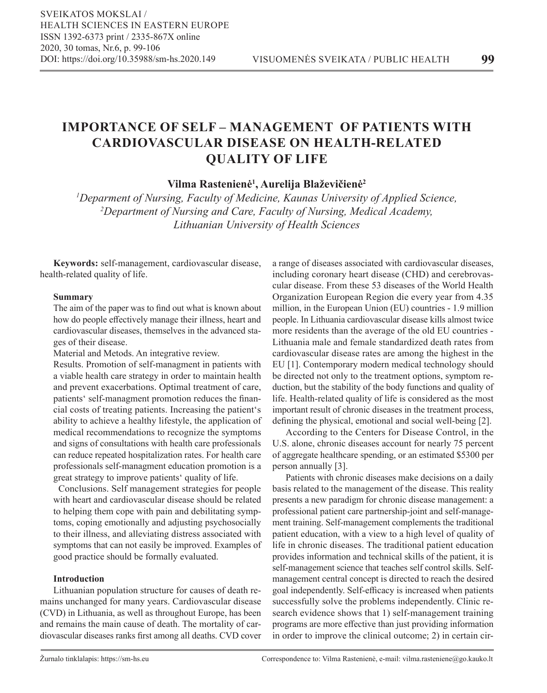# **IMPORTANCE OF SELF – MANAGEMENT OF PATIENTS WITH CARDIOVASCULAR DISEASE ON HEALTH-RELATED QUALITY OF LIFE**

**Vilma Rastenienė<sup>1</sup> , Aurelija Blaževičienė<sup>2</sup>**

*1 Deparment of Nursing, Faculty of Medicine, Kaunas University of Applied Science, 2 Department of Nursing and Care, Faculty of Nursing, Medical Academy, Lithuanian University of Health Sciences* 

**Keywords:** self-management, cardiovascular disease, health-related quality of life.

## **Summary**

The aim of the paper was to find out what is known about how do people effectively manage their illness, heart and cardiovascular diseases, themselves in the advanced stages of their disease.

Material and Metods. An integrative review.

Results. Promotion of self-managment in patients with a viable health care strategy in order to maintain health and prevent exacerbations. Optimal treatment of care, patients' self-managment promotion reduces the financial costs of treating patients. Increasing the patient's ability to achieve a healthy lifestyle, the application of medical recommendations to recognize the symptoms and signs of consultations with health care professionals can reduce repeated hospitalization rates. For health care professionals self-managment education promotion is a great strategy to improve patients' quality of life.

 Conclusions. Self management strategies for people with heart and cardiovascular disease should be related to helping them cope with pain and debilitating symptoms, coping emotionally and adjusting psychosocially to their illness, and alleviating distress associated with symptoms that can not easily be improved. Examples of good practice should be formally evaluated.

#### **Introduction**

Lithuanian population structure for causes of death remains unchanged for many years. Cardiovascular disease (CVD) in Lithuania, as well as throughout Europe, has been and remains the main cause of death. The mortality of cardiovascular diseases ranks first among all deaths. CVD cover

a range of diseases associated with cardiovascular diseases, including coronary heart disease (CHD) and cerebrovascular disease. From these 53 diseases of the World Health Organization European Region die every year from 4.35 million, in the European Union (EU) countries - 1.9 million people. In Lithuania cardiovascular disease kills almost twice more residents than the average of the old EU countries - Lithuania male and female standardized death rates from cardiovascular disease rates are among the highest in the EU [1]. Contemporary modern medical technology should be directed not only to the treatment options, symptom reduction, but the stability of the body functions and quality of life. Health-related quality of life is considered as the most important result of chronic diseases in the treatment process, defining the physical, emotional and social well-being [2].

According to the Centers for Disease Control, in the U.S. alone, chronic diseases account for nearly 75 percent of aggregate healthcare spending, or an estimated \$5300 per person annually [3].

Patients with chronic diseases make decisions on a daily basis related to the management of the disease. This reality presents a new paradigm for chronic disease management: a professional patient care partnership-joint and self-management training. Self-management complements the traditional patient education, with a view to a high level of quality of life in chronic diseases. The traditional patient education provides information and technical skills of the patient, it is self-management science that teaches self control skills. Selfmanagement central concept is directed to reach the desired goal independently. Self-efficacy is increased when patients successfully solve the problems independently. Clinic research evidence shows that 1) self-management training programs are more effective than just providing information in order to improve the clinical outcome; 2) in certain cir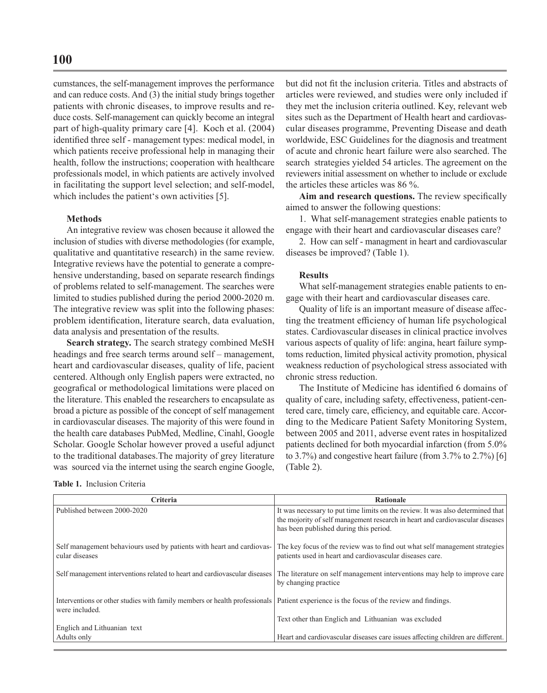cumstances, the self-management improves the performance and can reduce costs. And (3) the initial study brings together patients with chronic diseases, to improve results and reduce costs. Self-management can quickly become an integral part of high-quality primary care [4]. Koch et al. (2004) identified three self - management types: medical model, in which patients receive professional help in managing their health, follow the instructions; cooperation with healthcare professionals model, in which patients are actively involved in facilitating the support level selection; and self-model, which includes the patient's own activities [5].

#### **Methods**

An integrative review was chosen because it allowed the inclusion of studies with diverse methodologies (for example, qualitative and quantitative research) in the same review. Integrative reviews have the potential to generate a comprehensive understanding, based on separate research findings of problems related to self-management. The searches were limited to studies published during the period 2000-2020 m. The integrative review was split into the following phases: problem identification, literature search, data evaluation, data analysis and presentation of the results.

**Search strategy.** The search strategy combined MeSH headings and free search terms around self – management, heart and cardiovascular diseases, quality of life, pacient centered. Although only English papers were extracted, no geografical or methodological limitations were placed on the literature. This enabled the researchers to encapsulate as broad a picture as possible of the concept of self management in cardiovascular diseases. The majority of this were found in the health care databases PubMed, Medline, Cinahl, Google Scholar. Google Scholar however proved a useful adjunct to the traditional databases.The majority of grey literature was sourced via the internet using the search engine Google,

**Table 1.** Inclusion Criteria

but did not fit the inclusion criteria. Titles and abstracts of articles were reviewed, and studies were only included if they met the inclusion criteria outlined. Key, relevant web sites such as the Department of Health heart and cardiovascular diseases programme, Preventing Disease and death worldwide, ESC Guidelines for the diagnosis and treatment of acute and chronic heart failure were also searched. The search strategies yielded 54 articles. The agreement on the reviewers initial assessment on whether to include or exclude the articles these articles was 86 %.

**Aim and research questions.** The review specifically aimed to answer the following questions:

1. What self-management strategies enable patients to engage with their heart and cardiovascular diseases care?

2. How can self - managment in heart and cardiovascular diseases be improved? (Table 1).

### **Results**

What self-management strategies enable patients to engage with their heart and cardiovascular diseases care.

Quality of life is an important measure of disease affecting the treatment efficiency of human life psychological states. Cardiovascular diseases in clinical practice involves various aspects of quality of life: angina, heart failure symptoms reduction, limited physical activity promotion, physical weakness reduction of psychological stress associated with chronic stress reduction.

The Institute of Medicine has identified 6 domains of quality of care, including safety, effectiveness, patient-centered care, timely care, efficiency, and equitable care. According to the Medicare Patient Safety Monitoring System, between 2005 and 2011, adverse event rates in hospitalized patients declined for both myocardial infarction (from 5.0% to 3.7%) and congestive heart failure (from 3.7% to 2.7%) [6] (Table 2).

| Criteria                                                                                     | <b>Rationale</b>                                                                                                                                                                                          |
|----------------------------------------------------------------------------------------------|-----------------------------------------------------------------------------------------------------------------------------------------------------------------------------------------------------------|
| Published between 2000-2020                                                                  | It was necessary to put time limits on the review. It was also determined that<br>the mojority of self management research in heart and cardiovascular diseases<br>has been published during this period. |
| Self management behaviours used by patients with heart and cardiovas-<br>cular diseases      | The key focus of the review was to find out what self management strategies<br>patients used in heart and cardiovascular diseases care.                                                                   |
| Self management interventions related to heart and cardiovascular diseases                   | The literature on self management interventions may help to improve care<br>by changing practice                                                                                                          |
| Interventions or other studies with family members or health professionals<br>were included. | Patient experience is the focus of the review and findings.                                                                                                                                               |
|                                                                                              | Text other than Englich and Lithuanian was excluded                                                                                                                                                       |
| Englich and Lithuanian text                                                                  |                                                                                                                                                                                                           |
| Adults only                                                                                  | Heart and cardiovascular diseases care issues affecting children are different.                                                                                                                           |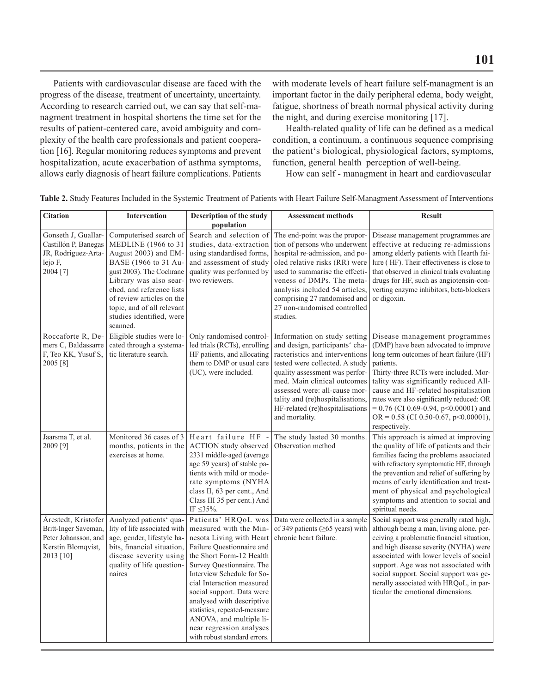Patients with cardiovascular disease are faced with the progress of the disease, treatment of uncertainty, uncertainty. According to research carried out, we can say that self-managment treatment in hospital shortens the time set for the results of patient-centered care, avoid ambiguity and complexity of the health care professionals and patient cooperation [16]. Regular monitoring reduces symptoms and prevent hospitalization, acute exacerbation of asthma symptoms, allows early diagnosis of heart failure complications. Patients with moderate levels of heart failure self-managment is an important factor in the daily peripheral edema, body weight, fatigue, shortness of breath normal physical activity during the night, and during exercise monitoring [17].

Health-related quality of life can be defined as a medical condition, a continuum, a continuous sequence comprising the patient's biological, physiological factors, symptoms, function, general health perception of well-being.

How can self - managment in heart and cardiovascular

| <b>Citation</b>                                                                                        | Intervention                                                                                                                                                                                                                                                                        | Description of the study                                                                                                                                                                                                                                                                                                                                                                                    | <b>Assessment methods</b>                                                                                                                                                                                                                                                                                                     | <b>Result</b>                                                                                                                                                                                                                                                                                                                                                                                              |
|--------------------------------------------------------------------------------------------------------|-------------------------------------------------------------------------------------------------------------------------------------------------------------------------------------------------------------------------------------------------------------------------------------|-------------------------------------------------------------------------------------------------------------------------------------------------------------------------------------------------------------------------------------------------------------------------------------------------------------------------------------------------------------------------------------------------------------|-------------------------------------------------------------------------------------------------------------------------------------------------------------------------------------------------------------------------------------------------------------------------------------------------------------------------------|------------------------------------------------------------------------------------------------------------------------------------------------------------------------------------------------------------------------------------------------------------------------------------------------------------------------------------------------------------------------------------------------------------|
|                                                                                                        |                                                                                                                                                                                                                                                                                     | population                                                                                                                                                                                                                                                                                                                                                                                                  |                                                                                                                                                                                                                                                                                                                               |                                                                                                                                                                                                                                                                                                                                                                                                            |
| Gonseth J, Guallar-<br>Castillón P, Banegas<br>JR, Rodriguez-Arta-<br>lejo F,<br>2004 [7]              | Computerised search of<br>MEDLINE (1966 to 31<br>August 2003) and EM-<br>BASE (1966 to 31 Au-<br>gust 2003). The Cochrane<br>Library was also sear-<br>ched, and reference lists<br>of review articles on the<br>topic, and of all relevant<br>studies identified, were<br>scanned. | Search and selection of<br>studies, data-extraction<br>using standardised forms,<br>and assessment of study<br>quality was performed by<br>two reviewers.                                                                                                                                                                                                                                                   | The end-point was the propor-<br>tion of persons who underwent<br>hospital re-admission, and po-<br>oled relative risks (RR) were<br>used to summarise the effecti-<br>veness of DMPs. The meta-<br>analysis included 54 articles,<br>comprising 27 randomised and<br>27 non-randomised controlled<br>studies.                | Disease management programmes are<br>effective at reducing re-admissions<br>among elderly patients with Hearth fai-<br>lure (HF). Their effectiveness is close to<br>that observed in clinical trials evaluating<br>drugs for HF, such as angiotensin-con-<br>verting enzyme inhibitors, beta-blockers<br>or digoxin.                                                                                      |
| Roccaforte R, De-<br>mers C, Baldassarre<br>F, Teo KK, Yusuf S,<br>2005 [8]                            | Eligible studies were lo-<br>cated through a systema-<br>tic literature search.                                                                                                                                                                                                     | Only randomised control-<br>led trials (RCTs), enrolling<br>HF patients, and allocating<br>them to DMP or usual care<br>(UC), were included.                                                                                                                                                                                                                                                                | Information on study setting<br>and design, participants' cha-<br>racteristics and interventions<br>tested were collected. A study<br>quality assessment was perfor-<br>med. Main clinical outcomes<br>assessed were: all-cause mor-<br>tality and (re)hospitalisations,<br>HF-related (re)hospitalisations<br>and mortality. | Disease management programmes<br>(DMP) have been advocated to improve<br>long term outcomes of heart failure (HF)<br>patients.<br>Thirty-three RCTs were included. Mor-<br>tality was significantly reduced All-<br>cause and HF-related hospitalisation<br>rates were also significantly reduced: OR<br>$= 0.76$ (CI 0.69-0.94, p<0.00001) and<br>OR = $0.58$ (CI 0.50-0.67, p<0.00001),<br>respectively. |
| Jaarsma T, et al.<br>2009 [9]                                                                          | Monitored 36 cases of 3<br>months, patients in the<br>exercises at home.                                                                                                                                                                                                            | Heart failure HF -<br><b>ACTION</b> study observed<br>2331 middle-aged (average<br>age 59 years) of stable pa-<br>tients with mild or mode-<br>rate symptoms (NYHA<br>class II, 63 per cent., And<br>Class III 35 per cent.) And<br>IF ≤35%.                                                                                                                                                                | The study lasted 30 months.<br>Observation method                                                                                                                                                                                                                                                                             | This approach is aimed at improving<br>the quality of life of patients and their<br>families facing the problems associated<br>with refractory symptomatic HF, through<br>the prevention and relief of suffering by<br>means of early identification and treat-<br>ment of physical and psychological<br>symptoms and attention to social and<br>spiritual needs.                                          |
| Årestedt, Kristofer<br>Britt-Inger Saveman,<br>Peter Johansson, and<br>Kerstin Blomqvist,<br>2013 [10] | Analyzed patients' qua-<br>lity of life associated with<br>age, gender, lifestyle ha-<br>bits, financial situation,<br>disease severity using<br>quality of life question-<br>naires                                                                                                | Patients' HRQoL was<br>measured with the Min-<br>nesota Living with Heart<br>Failure Questionnaire and<br>the Short Form-12 Health<br>Survey Questionnaire. The<br>Interview Schedule for So-<br>cial Interaction measured<br>social support. Data were<br>analysed with descriptive<br>statistics, repeated-measure<br>ANOVA, and multiple li-<br>near regression analyses<br>with robust standard errors. | Data were collected in a sample<br>of 349 patients ( $\geq$ 65 years) with<br>chronic heart failure.                                                                                                                                                                                                                          | Social support was generally rated high,<br>although being a man, living alone, per-<br>ceiving a problematic financial situation,<br>and high disease severity (NYHA) were<br>associated with lower levels of social<br>support. Age was not associated with<br>social support. Social support was ge-<br>nerally associated with HRQoL, in par-<br>ticular the emotional dimensions.                     |

**Table 2.** Study Features Included in the Systemic Treatment of Patients with Heart Failure Self-Managment Assessment of Interventions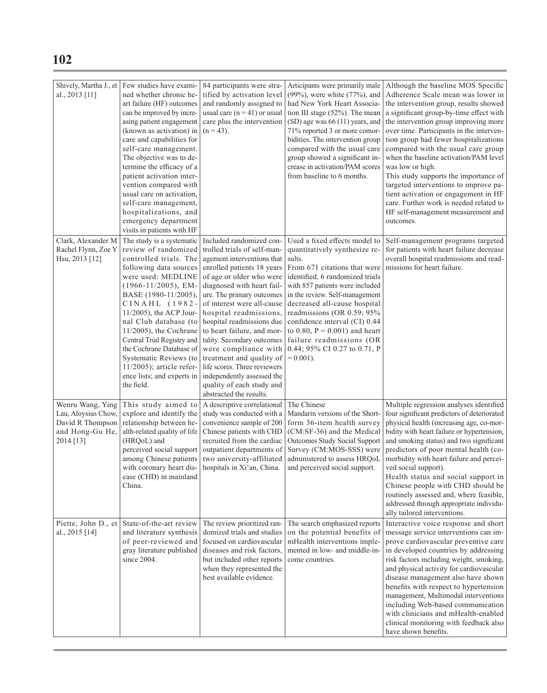| al., 2013 [11]                                                                              | Shively, Martha J., et   Few studies have exami-<br>ned whether chronic he-<br>art failure (HF) outcomes<br>can be improved by incre-<br>asing patient engagement<br>(known as activation) in<br>care and capabilities for<br>self-care management.<br>The objective was to de-<br>termine the efficacy of a<br>patient activation inter-<br>vention compared with<br>usual care on activation,<br>self-care management,<br>hospitalizations, and | 84 participants were stra-<br>tified by activation level<br>and randomly assigned to<br>usual care ( $n = 41$ ) or usual<br>care plus the intervention<br>$(n = 43)$ .                                                                                             | Articipants were primarily male<br>(99%), were white (77%), and<br>had New York Heart Associa-<br>tion III stage (52%). The mean<br>(SD) age was 66 (11) years, and<br>71% reported 3 or more comor-<br>bidities. The intervention group<br>compared with the usual care<br>group showed a significant in-<br>crease in activation/PAM scores<br>from baseline to 6 months. | Although the baseline MOS Specific<br>Adherence Scale mean was lower in<br>the intervention group, results showed<br>a significant group-by-time effect with<br>the intervention group improving more<br>over time. Participants in the interven-<br>tion group had fewer hospitalizations<br>compared with the usual care group<br>when the baseline activation/PAM level<br>was low or high.<br>This study supports the importance of<br>targeted interventions to improve pa-<br>tient activation or engagement in HF<br>care. Further work is needed related to<br>HF self-management measurement and |
|---------------------------------------------------------------------------------------------|---------------------------------------------------------------------------------------------------------------------------------------------------------------------------------------------------------------------------------------------------------------------------------------------------------------------------------------------------------------------------------------------------------------------------------------------------|--------------------------------------------------------------------------------------------------------------------------------------------------------------------------------------------------------------------------------------------------------------------|-----------------------------------------------------------------------------------------------------------------------------------------------------------------------------------------------------------------------------------------------------------------------------------------------------------------------------------------------------------------------------|-----------------------------------------------------------------------------------------------------------------------------------------------------------------------------------------------------------------------------------------------------------------------------------------------------------------------------------------------------------------------------------------------------------------------------------------------------------------------------------------------------------------------------------------------------------------------------------------------------------|
| Clark, Alexander M<br>Rachel Flynn, Zoe Y<br>Hsu, 2013 [12]                                 | emergency department<br>visits in patients with HF<br>The study is a systematic<br>review of randomized<br>controlled trials. The<br>following data sources<br>were used: MEDLINE<br>$(1966 - 11/2005)$ , EM-<br>BASE (1980-11/2005),<br>$CINAIL$ (1982-<br>$11/2005$ , the ACP Jour-                                                                                                                                                             | Included randomized con-<br>trolled trials of self-man-<br>agement interventions that<br>enrolled patients 18 years<br>of age or older who were<br>diagnosed with heart fail-<br>ure. The primary outcomes<br>of interest were all-cause<br>hospital readmissions, | Used a fixed effects model to<br>quantitatively synthesize re-<br>sults.<br>From 671 citations that were<br>identified, 6 randomized trials<br>with 857 patients were included<br>in the review. Self-management<br>decreased all-cause hospital<br>readmissions (OR 0.59; 95%                                                                                              | outcomes.<br>Self-management programs targeted<br>for patients with heart failure decrease<br>overall hospital readmissions and read-<br>missions for heart failure.                                                                                                                                                                                                                                                                                                                                                                                                                                      |
|                                                                                             | nal Club database (to<br>$11/2005$ , the Cochrane<br>Central Trial Registry and<br>the Cochrane Database of<br>Systematic Reviews (to<br>$11/2005$ ; article refer-<br>ence lists; and experts in<br>the field.                                                                                                                                                                                                                                   | hospital readmissions due<br>to heart failure, and mor-<br>tality. Secondary outcomes<br>were compliance with<br>treatment and quality of<br>life scores. Three reviewers<br>independently assessed the<br>quality of each study and<br>abstracted the results.    | confidence interval (CI) 0.44<br>to 0.80, $P = 0.001$ ) and heart<br>failure readmissions (OR<br>0.44; 95% CI 0.27 to 0.71, P<br>$= 0.001$ ).                                                                                                                                                                                                                               |                                                                                                                                                                                                                                                                                                                                                                                                                                                                                                                                                                                                           |
| Wenru Wang, Ying<br>Lau, Aloysius Chow,<br>David R Thompson<br>and Hong-Gu He,<br>2014 [13] | This study aimed to<br>explore and identify the<br>relationship between he-<br>alth-related quality of life<br>(HROoL) and<br>perceived social support<br>among Chinese patients<br>with coronary heart dis-<br>ease (CHD) in mainland<br>China.                                                                                                                                                                                                  | A descriptive correlational<br>study was conducted with a<br>convenience sample of 200<br>Chinese patients with CHD<br>recruited from the cardiac<br>outpatient departments of<br>two university-affiliated<br>hospitals in Xi'an, China.                          | The Chinese<br>Mandarin versions of the Short-<br>form 36-item health survey<br>(CM:SF-36) and the Medical<br>Outcomes Study Social Support<br>Survey (CM:MOS-SSS) were<br>administered to assess HRQoL<br>and perceived social support.                                                                                                                                    | Multiple regression analyses identified<br>four significant predictors of deteriorated<br>physical health (increasing age, co-mor-<br>bidity with heart failure or hypertension,<br>and smoking status) and two significant<br>predictors of poor mental health (co-<br>morbidity with heart failure and percei-<br>ved social support).<br>Health status and social support in<br>Chinese people with CHD should be<br>routinely assessed and, where feasible,<br>addressed through appropriate individu-<br>ally tailored interventions.                                                                |
| Piette, John D., et<br>al., 2015 [14]                                                       | State-of-the-art review<br>and literature synthesis<br>of peer-reviewed and<br>gray literature published<br>since 2004.                                                                                                                                                                                                                                                                                                                           | The review prioritized ran-<br>domized trials and studies<br>focused on cardiovascular<br>diseases and risk factors,<br>but included other reports<br>when they represented the<br>best available evidence.                                                        | The search emphasized reports<br>on the potential benefits of<br>mHealth interventions imple-<br>mented in low- and middle-in-<br>come countries.                                                                                                                                                                                                                           | Interactive voice response and short<br>message service interventions can im-<br>prove cardiovascular preventive care<br>in developed countries by addressing<br>risk factors including weight, smoking,<br>and physical activity for cardiovascular<br>disease management also have shown<br>benefits with respect to hypertension<br>management, Multimodal interventions<br>including Web-based communication<br>with clinicians and mHealth-enabled<br>clinical monitoring with feedback also<br>have shown benefits.                                                                                 |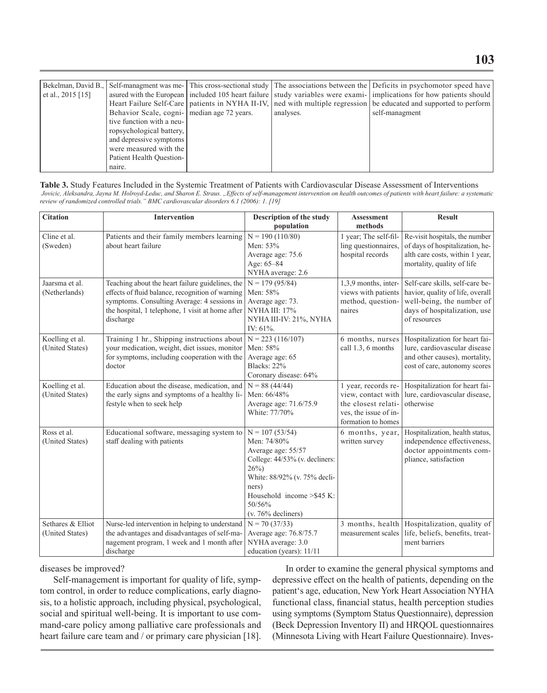|                     |                                             |           | Bekelman, David B., Self-managment was me- This cross-sectional study The associations between the Deficits in psychomotor speed have |
|---------------------|---------------------------------------------|-----------|---------------------------------------------------------------------------------------------------------------------------------------|
| et al., $2015$ [15] |                                             |           | asured with the European included 105 heart failure study variables were exami- implications for how patients should                  |
|                     |                                             |           | Heart Failure Self-Care patients in NYHA II-IV, ned with multiple regression be educated and supported to perform                     |
|                     | Behavior Scale, cogni- median age 72 years. | analyses. | self-managment                                                                                                                        |
|                     | tive function with a neu-                   |           |                                                                                                                                       |
|                     | ropsychological battery,                    |           |                                                                                                                                       |
|                     | and depressive symptoms                     |           |                                                                                                                                       |
|                     | were measured with the                      |           |                                                                                                                                       |
|                     | Patient Health Ouestion-                    |           |                                                                                                                                       |
|                     | naire.                                      |           |                                                                                                                                       |

**Table 3.** Study Features Included in the Systemic Treatment of Patients with Cardiovascular Disease Assessment of Interventions Jovicic, Aleksandra, Jayna M. Holroyd-Leduc, and Sharon E. Straus. "Effects of self-management intervention on health outcomes of patients with heart failure: a systematic *review of randomized controlled trials." BMC cardiovascular disorders 6.1 (2006): 1. [19]*

| <b>Citation</b>                      | Intervention                                                                                                                                                                                                         | <b>Description of the study</b>                                                                                                                                                                              | <b>Assessment</b>                                                                                               | <b>Result</b>                                                                                                                                    |
|--------------------------------------|----------------------------------------------------------------------------------------------------------------------------------------------------------------------------------------------------------------------|--------------------------------------------------------------------------------------------------------------------------------------------------------------------------------------------------------------|-----------------------------------------------------------------------------------------------------------------|--------------------------------------------------------------------------------------------------------------------------------------------------|
|                                      |                                                                                                                                                                                                                      | population                                                                                                                                                                                                   | methods                                                                                                         |                                                                                                                                                  |
| Cline et al.<br>(Sweden)             | Patients and their family members learning<br>about heart failure                                                                                                                                                    | $N = 190(110/80)$<br>Men: 53%<br>Average age: 75.6<br>Age: 65-84<br>NYHA average: 2.6                                                                                                                        | 1 year; The self-fil-<br>ling questionnaires,<br>hospital records                                               | Re-visit hospitals, the number<br>of days of hospitalization, he-<br>alth care costs, within 1 year,<br>mortality, quality of life               |
| Jaarsma et al.<br>(Netherlands)      | Teaching about the heart failure guidelines, the<br>effects of fluid balance, recognition of warning<br>symptoms. Consulting Average: 4 sessions in<br>the hospital, 1 telephone, 1 visit at home after<br>discharge | $N = 179(95/84)$<br>Men: 58%<br>Average age: 73.<br>NYHA III: 17%<br>NYHA III-IV: 21%, NYHA<br>IV: $61\%$ .                                                                                                  | 1,3,9 months, inter-<br>views with patients<br>method, question-<br>naires                                      | Self-care skills, self-care be-<br>havior, quality of life, overall<br>well-being, the number of<br>days of hospitalization, use<br>of resources |
| Koelling et al.<br>(United States)   | Training 1 hr., Shipping instructions about<br>your medication, weight, diet issues, monitor<br>for symptoms, including cooperation with the<br>doctor                                                               | $N = 223$ (116/107)<br>Men: 58%<br>Average age: 65<br><b>Blacks: 22%</b><br>Coronary disease: 64%                                                                                                            | 6 months, nurses<br>call 1.3, 6 months                                                                          | Hospitalization for heart fai-<br>lure, cardiovascular disease<br>and other causes), mortality,<br>cost of care, autonomy scores                 |
| Koelling et al.<br>(United States)   | Education about the disease, medication, and<br>the early signs and symptoms of a healthy li-<br>festyle when to seek help                                                                                           | $N = 88(44/44)$<br>Men: 66/48%<br>Average age: 71.6/75.9<br>White: 77/70%                                                                                                                                    | 1 year, records re-<br>view, contact with<br>the closest relati-<br>ves, the issue of in-<br>formation to homes | Hospitalization for heart fai-<br>lure, cardiovascular disease,<br>otherwise                                                                     |
| Ross et al.<br>(United States)       | Educational software, messaging system to<br>staff dealing with patients                                                                                                                                             | $N = 107(53/54)$<br>Men: 74/80%<br>Average age: 55/57<br>College: 44/53% (v. decliners:<br>$26\%)$<br>White: 88/92% (v. 75% decli-<br>ners)<br>Household income > \$45 K:<br>50/56%<br>$(v. 76\%$ decliners) | 6 months, year.<br>written survey                                                                               | Hospitalization, health status,<br>independence effectiveness,<br>doctor appointments com-<br>pliance, satisfaction                              |
| Sethares & Elliot<br>(United States) | Nurse-led intervention in helping to understand<br>the advantages and disadvantages of self-ma-<br>nagement program, 1 week and 1 month after<br>discharge                                                           | $N = 70(37/33)$<br>Average age: 76.8/75.7<br>NYHA average: 3.0<br>education (years): 11/11                                                                                                                   | measurement scales                                                                                              | 3 months, health   Hospitalization, quality of<br>life, beliefs, benefits, treat-<br>ment barriers                                               |

diseases be improved?

Self-management is important for quality of life, symptom control, in order to reduce complications, early diagnosis, to a holistic approach, including physical, psychological, social and spiritual well-being. It is important to use command-care policy among palliative care professionals and heart failure care team and / or primary care physician [18].

In order to examine the general physical symptoms and depressive effect on the health of patients, depending on the patient's age, education, New York Heart Association NYHA functional class, financial status, health perception studies using symptoms (Symptom Status Questionnaire), depression (Beck Depression Inventory II) and HRQOL questionnaires (Minnesota Living with Heart Failure Questionnaire). Inves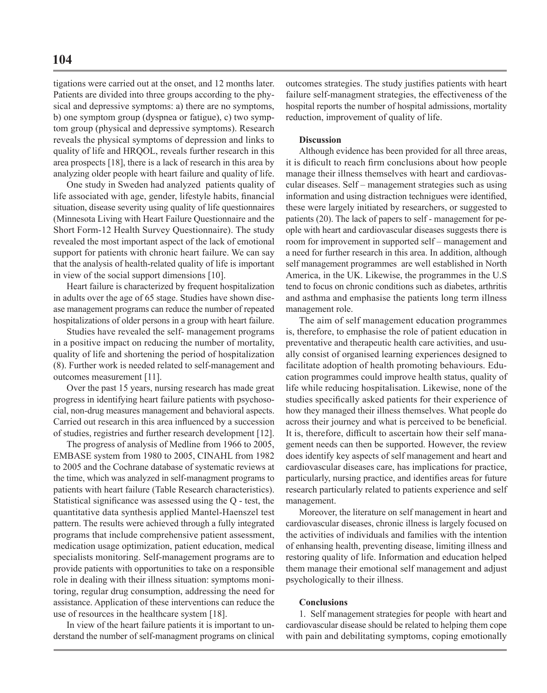tigations were carried out at the onset, and 12 months later. Patients are divided into three groups according to the physical and depressive symptoms: a) there are no symptoms, b) one symptom group (dyspnea or fatigue), c) two symptom group (physical and depressive symptoms). Research reveals the physical symptoms of depression and links to quality of life and HRQOL, reveals further research in this area prospects [18], there is a lack of research in this area by analyzing older people with heart failure and quality of life.

One study in Sweden had analyzed patients quality of life associated with age, gender, lifestyle habits, financial situation, disease severity using quality of life questionnaires (Minnesota Living with Heart Failure Questionnaire and the Short Form-12 Health Survey Questionnaire). The study revealed the most important aspect of the lack of emotional support for patients with chronic heart failure. We can say that the analysis of health-related quality of life is important in view of the social support dimensions [10].

Heart failure is characterized by frequent hospitalization in adults over the age of 65 stage. Studies have shown disease management programs can reduce the number of repeated hospitalizations of older persons in a group with heart failure.

Studies have revealed the self- management programs in a positive impact on reducing the number of mortality, quality of life and shortening the period of hospitalization (8). Further work is needed related to self-management and outcomes measurement [11].

Over the past 15 years, nursing research has made great progress in identifying heart failure patients with psychosocial, non-drug measures management and behavioral aspects. Carried out research in this area influenced by a succession of studies, registries and further research development [12].

The progress of analysis of Medline from 1966 to 2005, EMBASE system from 1980 to 2005, CINAHL from 1982 to 2005 and the Cochrane database of systematic reviews at the time, which was analyzed in self-managment programs to patients with heart failure (Table Research characteristics). Statistical significance was assessed using the Q - test, the quantitative data synthesis applied Mantel-Haenszel test pattern. The results were achieved through a fully integrated programs that include comprehensive patient assessment, medication usage optimization, patient education, medical specialists monitoring. Self-management programs are to provide patients with opportunities to take on a responsible role in dealing with their illness situation: symptoms monitoring, regular drug consumption, addressing the need for assistance. Application of these interventions can reduce the use of resources in the healthcare system [18].

In view of the heart failure patients it is important to understand the number of self-managment programs on clinical

outcomes strategies. The study justifies patients with heart failure self-managment strategies, the effectiveness of the hospital reports the number of hospital admissions, mortality reduction, improvement of quality of life.

### **Discussion**

Although evidence has been provided for all three areas, it is dificult to reach firm conclusions about how people manage their illness themselves with heart and cardiovascular diseases. Self – management strategies such as using information and using distraction technigues were identified, these were largely initiated by researchers, or suggested to patients (20). The lack of papers to self - management for people with heart and cardiovascular diseases suggests there is room for improvement in supported self – management and a need for further research in this area. In addition, although self management programmes are well established in North America, in the UK. Likewise, the programmes in the U.S tend to focus on chronic conditions such as diabetes, arthritis and asthma and emphasise the patients long term illness management role.

The aim of self management education programmes is, therefore, to emphasise the role of patient education in preventative and therapeutic health care activities, and usually consist of organised learning experiences designed to facilitate adoption of health promoting behaviours. Education programmes could improve health status, quality of life while reducing hospitalisation. Likewise, none of the studies specifically asked patients for their experience of how they managed their illness themselves. What people do across their journey and what is perceived to be beneficial. It is, therefore, difficult to ascertain how their self management needs can then be supported. However, the review does identify key aspects of self management and heart and cardiovascular diseases care, has implications for practice, particularly, nursing practice, and identifies areas for future research particularly related to patients experience and self management.

Moreover, the literature on self management in heart and cardiovascular diseases, chronic illness is largely focused on the activities of individuals and families with the intention of enhansing health, preventing disease, limiting illness and restoring quality of life. Information and education helped them manage their emotional self management and adjust psychologically to their illness.

#### **Conclusions**

1. Self management strategies for people with heart and cardiovascular disease should be related to helping them cope with pain and debilitating symptoms, coping emotionally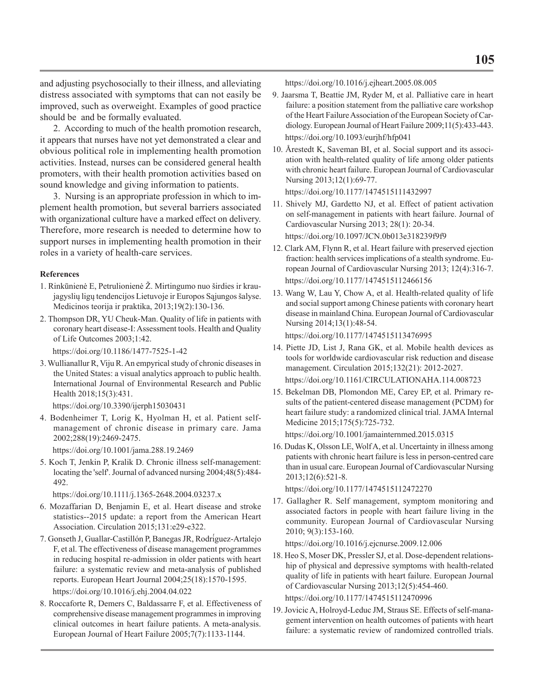and adjusting psychosocially to their illness, and alleviating distress associated with symptoms that can not easily be improved, such as overweight. Examples of good practice should be and be formally evaluated.

2. According to much of the health promotion research, it appears that nurses have not yet demonstrated a clear and obvious political role in implementing health promotion activities. Instead, nurses can be considered general health promoters, with their health promotion activities based on sound knowledge and giving information to patients.

3. Nursing is an appropriate profession in which to implement health promotion, but several barriers associated with organizational culture have a marked effect on delivery. Therefore, more research is needed to determine how to support nurses in implementing health promotion in their roles in a variety of health-care services.

## **References**

- 1. Rinkūnienė E, Petrulionienė Ž. Mirtingumo nuo širdies ir kraujagyslių ligų tendencijos Lietuvoje ir Europos Sąjungos šalyse. Medicinos teorija ir praktika, 2013;19(2):130-136.
- 2. Thompson DR, YU Cheuk-Man. Quality of life in patients with coronary heart disease-I: Assessment tools. Health and Quality of Life Outcomes 2003;1:42.

https://doi.org/10.1186/1477-7525-1-42

3. Wullianallur R, Viju R. An empyrical study of chronic diseases in the United States: a visual analytics approach to public health. International Journal of Environmental Research and Public Health 2018;15(3):431.

```
 https://doi.org/10.3390/ijerph15030431
```
4. Bodenheimer T, Lorig K, Hyolman H, et al. Patient selfmanagement of chronic disease in primary care. Jama 2002;288(19):2469-2475.

https://doi.org/10.1001/jama.288.19.2469

5. Koch T, Jenkin P, Kralik D. Chronic illness self‐management: locating the 'self'. Journal of advanced nursing 2004;48(5):484- 492.

https://doi.org/10.1111/j.1365-2648.2004.03237.x

- 6. Mozaffarian D, Benjamin E, et al. Heart disease and stroke statistics--2015 update: a report from the American Heart Association. Circulation 2015;131:e29-e322.
- 7. Gonseth J, Guallar-Castillón P, Banegas JR, Rodríguez-Artalejo F, et al. The effectiveness of disease management programmes in reducing hospital re-admission in older patients with heart failure: a systematic review and meta-analysis of published reports. European Heart Journal 2004;25(18):1570-1595. https://doi.org/10.1016/j.ehj.2004.04.022
- 8. Roccaforte R, Demers C, Baldassarre F, et al. Effectiveness of comprehensive disease management programmes in improving clinical outcomes in heart failure patients. A meta‐analysis. European Journal of Heart Failure 2005;7(7):1133-1144.

https://doi.org/10.1016/j.ejheart.2005.08.005

- 9. Jaarsma T, Beattie JM, Ryder M, et al. Palliative care in heart failure: a position statement from the palliative care workshop of the Heart Failure Association of the European Society of Cardiology. European Journal of Heart Failure 2009;11(5):433-443. https://doi.org/10.1093/eurjhf/hfp041
- 10. Årestedt K, Saveman BI, et al. Social support and its association with health-related quality of life among older patients with chronic heart failure. European Journal of Cardiovascular Nursing 2013;12(1):69-77.

https://doi.org/10.1177/1474515111432997

- 11. Shively MJ, Gardetto NJ, et al. Effect of patient activation on self-management in patients with heart failure. Journal of Cardiovascular Nursing 2013; 28(1): 20-34. https://doi.org/10.1097/JCN.0b013e318239f9f9
- 12. Clark AM, Flynn R, et al. Heart failure with preserved ejection fraction: health services implications of a stealth syndrome. European Journal of Cardiovascular Nursing 2013; 12(4):316-7. https://doi.org/10.1177/1474515112466156
- 13. Wang W, Lau Y, Chow A, et al. Health-related quality of life and social support among Chinese patients with coronary heart disease in mainland China. European Journal of Cardiovascular Nursing 2014;13(1):48-54.

https://doi.org/10.1177/1474515113476995

- 14. Piette JD, List J, Rana GK, et al. Mobile health devices as tools for worldwide cardiovascular risk reduction and disease management. Circulation 2015;132(21): 2012-2027. https://doi.org/10.1161/CIRCULATIONAHA.114.008723
- 15. Bekelman DB, Plomondon ME, Carey EP, et al. Primary results of the patient-centered disease management (PCDM) for heart failure study: a randomized clinical trial. JAMA Internal Medicine 2015;175(5):725-732.

https://doi.org/10.1001/jamainternmed.2015.0315

16. Dudas K, Olsson LE, Wolf A, et al. Uncertainty in illness among patients with chronic heart failure is less in person-centred care than in usual care. European Journal of Cardiovascular Nursing 2013;12(6):521-8.

```
 https://doi.org/10.1177/1474515112472270
```
17. Gallagher R. Self management, symptom monitoring and associated factors in people with heart failure living in the community. European Journal of Cardiovascular Nursing 2010; 9(3):153-160.

https://doi.org/10.1016/j.ejcnurse.2009.12.006

18. Heo S, Moser DK, Pressler SJ, et al. Dose-dependent relationship of physical and depressive symptoms with health-related quality of life in patients with heart failure. European Journal of Cardiovascular Nursing 2013;12(5):454-460. https://doi.org/10.1177/1474515112470996

19. Jovicic A, Holroyd-Leduc JM, Straus SE. Effects of self-mana-

gement intervention on health outcomes of patients with heart failure: a systematic review of randomized controlled trials.